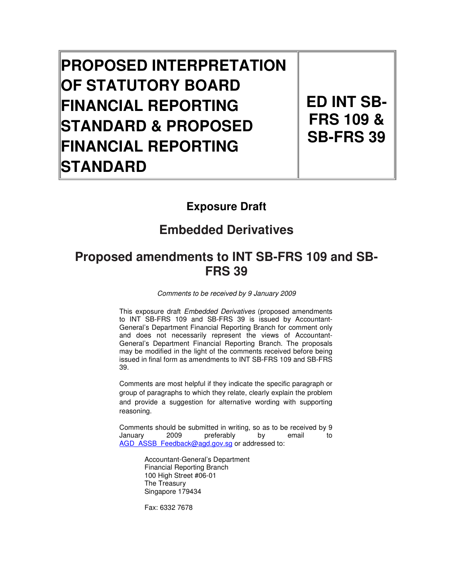# **PROPOSED INTERPRETATION OF STATUTORY BOARD FINANCIAL REPORTING STANDARD & PROPOSED FINANCIAL REPORTING STANDARD**

**ED INT SB-FRS 109 & SB-FRS 39**

# **Exposure Draft**

# **Embedded Derivatives**

# **Proposed amendments to INT SB-FRS 109 and SB-FRS 39**

Comments to be received by 9 January 2009

This exposure draft Embedded Derivatives (proposed amendments to INT SB-FRS 109 and SB-FRS 39 is issued by Accountant-General's Department Financial Reporting Branch for comment only and does not necessarily represent the views of Accountant-General's Department Financial Reporting Branch. The proposals may be modified in the light of the comments received before being issued in final form as amendments to INT SB-FRS 109 and SB-FRS 39.

Comments are most helpful if they indicate the specific paragraph or group of paragraphs to which they relate, clearly explain the problem and provide a suggestion for alternative wording with supporting reasoning.

Comments should be submitted in writing, so as to be received by 9 January 2009 preferably by email to AGD\_ASSB\_Feedback@agd.gov.sg or addressed to:

> Accountant-General's Department Financial Reporting Branch 100 High Street #06-01 The Treasury Singapore 179434

Fax: 6332 7678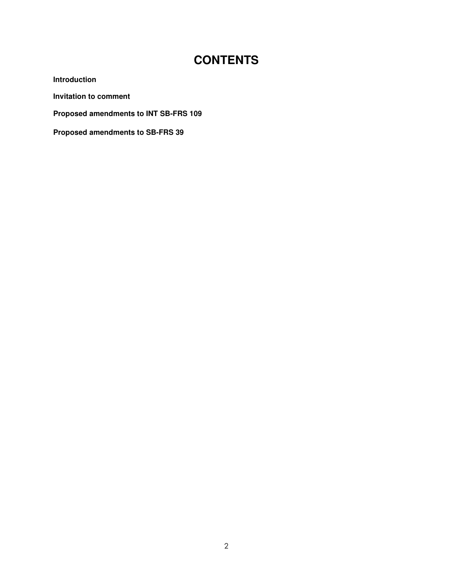# **CONTENTS**

**Introduction** 

**Invitation to comment** 

**Proposed amendments to INT SB-FRS 109** 

**Proposed amendments to SB-FRS 39**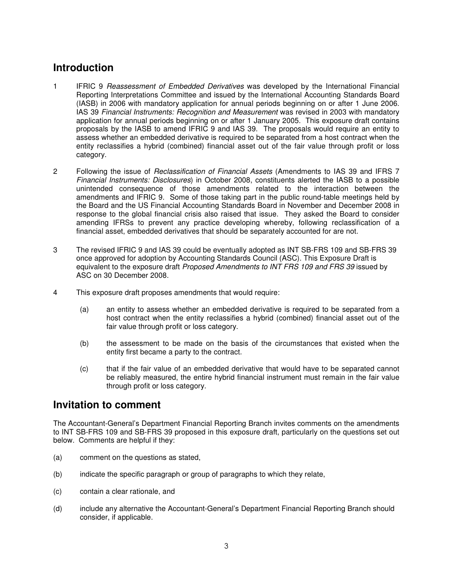## **Introduction**

- 1 IFRIC 9 Reassessment of Embedded Derivatives was developed by the International Financial Reporting Interpretations Committee and issued by the International Accounting Standards Board (IASB) in 2006 with mandatory application for annual periods beginning on or after 1 June 2006. IAS 39 Financial Instruments: Recognition and Measurement was revised in 2003 with mandatory application for annual periods beginning on or after 1 January 2005. This exposure draft contains proposals by the IASB to amend IFRIC 9 and IAS 39. The proposals would require an entity to assess whether an embedded derivative is required to be separated from a host contract when the entity reclassifies a hybrid (combined) financial asset out of the fair value through profit or loss category.
- 2 Following the issue of *Reclassification of Financial Assets* (Amendments to IAS 39 and IFRS 7 Financial Instruments: Disclosures) in October 2008, constituents alerted the IASB to a possible unintended consequence of those amendments related to the interaction between the amendments and IFRIC 9. Some of those taking part in the public round-table meetings held by the Board and the US Financial Accounting Standards Board in November and December 2008 in response to the global financial crisis also raised that issue. They asked the Board to consider amending IFRSs to prevent any practice developing whereby, following reclassification of a financial asset, embedded derivatives that should be separately accounted for are not.
- 3 The revised IFRIC 9 and IAS 39 could be eventually adopted as INT SB-FRS 109 and SB-FRS 39 once approved for adoption by Accounting Standards Council (ASC). This Exposure Draft is equivalent to the exposure draft Proposed Amendments to INT FRS 109 and FRS 39 issued by ASC on 30 December 2008.
- 4 This exposure draft proposes amendments that would require:
	- (a) an entity to assess whether an embedded derivative is required to be separated from a host contract when the entity reclassifies a hybrid (combined) financial asset out of the fair value through profit or loss category.
	- (b) the assessment to be made on the basis of the circumstances that existed when the entity first became a party to the contract.
	- (c) that if the fair value of an embedded derivative that would have to be separated cannot be reliably measured, the entire hybrid financial instrument must remain in the fair value through profit or loss category.

#### **Invitation to comment**

The Accountant-General's Department Financial Reporting Branch invites comments on the amendments to INT SB-FRS 109 and SB-FRS 39 proposed in this exposure draft, particularly on the questions set out below. Comments are helpful if they:

- (a) comment on the questions as stated,
- (b) indicate the specific paragraph or group of paragraphs to which they relate,
- (c) contain a clear rationale, and
- (d) include any alternative the Accountant-General's Department Financial Reporting Branch should consider, if applicable.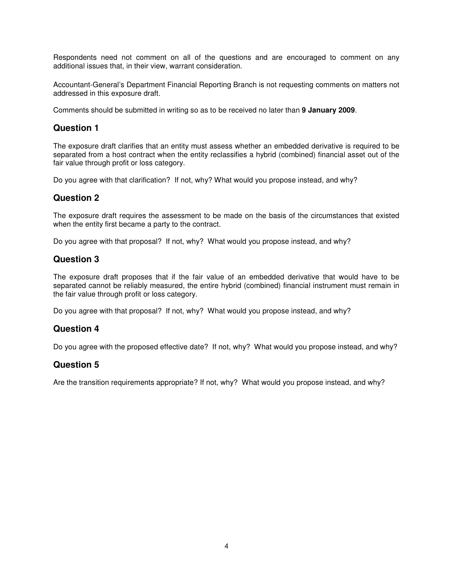Respondents need not comment on all of the questions and are encouraged to comment on any additional issues that, in their view, warrant consideration.

Accountant-General's Department Financial Reporting Branch is not requesting comments on matters not addressed in this exposure draft.

Comments should be submitted in writing so as to be received no later than **9 January 2009**.

#### **Question 1**

The exposure draft clarifies that an entity must assess whether an embedded derivative is required to be separated from a host contract when the entity reclassifies a hybrid (combined) financial asset out of the fair value through profit or loss category.

Do you agree with that clarification? If not, why? What would you propose instead, and why?

#### **Question 2**

The exposure draft requires the assessment to be made on the basis of the circumstances that existed when the entity first became a party to the contract.

Do you agree with that proposal? If not, why? What would you propose instead, and why?

#### **Question 3**

The exposure draft proposes that if the fair value of an embedded derivative that would have to be separated cannot be reliably measured, the entire hybrid (combined) financial instrument must remain in the fair value through profit or loss category.

Do you agree with that proposal? If not, why? What would you propose instead, and why?

#### **Question 4**

Do you agree with the proposed effective date? If not, why? What would you propose instead, and why?

#### **Question 5**

Are the transition requirements appropriate? If not, why? What would you propose instead, and why?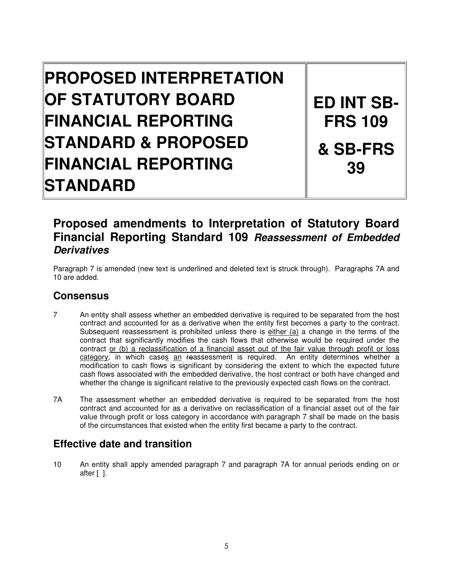# **PROPOSED INTERPRETATION OF STATUTORY BOARD FINANCIAL REPORTING STANDARD & PROPOSED FINANCIAL REPORTING STANDARD**

**ED INT SB-FRS 109 & SB-FRS 39** 

# **Proposed amendments to Interpretation of Statutory Board Financial Reporting Standard 109 Reassessment of Embedded Derivatives**

Paragraph 7 is amended (new text is underlined and deleted text is struck through). Paragraphs 7A and 10 are added.

# **Consensus**

- 7 An entity shall assess whether an embedded derivative is required to be separated from the host contract and accounted for as a derivative when the entity first becomes a party to the contract. Subsequent reassessment is prohibited unless there is either (a) a change in the terms of the contract that significantly modifies the cash flows that otherwise would be required under the contract or (b) a reclassification of a financial asset out of the fair value through profit or loss category, in which cases an reassessment is required. An entity determines whether a modification to cash flows is significant by considering the extent to which the expected future cash flows associated with the embedded derivative, the host contract or both have changed and whether the change is significant relative to the previously expected cash flows on the contract.
- 7A The assessment whether an embedded derivative is required to be separated from the host contract and accounted for as a derivative on reclassification of a financial asset out of the fair value through profit or loss category in accordance with paragraph 7 shall be made on the basis of the circumstances that existed when the entity first became a party to the contract.

## **Effective date and transition**

10 An entity shall apply amended paragraph 7 and paragraph 7A for annual periods ending on or after [ ].